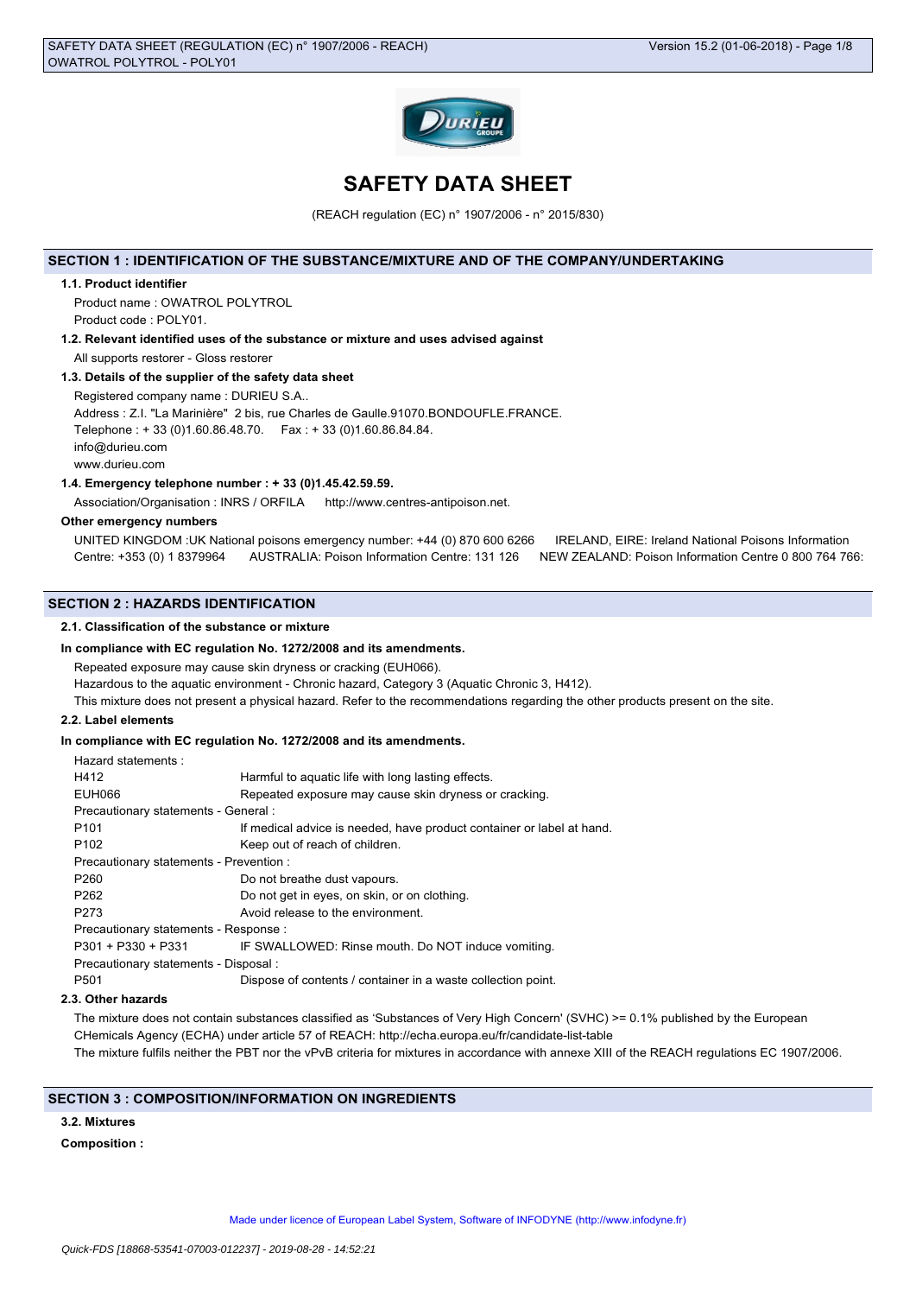

# **SAFETY DATA SHEET**

(REACH regulation (EC) n° 1907/2006 - n° 2015/830)

# **SECTION 1 : IDENTIFICATION OF THE SUBSTANCE/MIXTURE AND OF THE COMPANY/UNDERTAKING**

#### **1.1. Product identifier**

Product name : OWATROL POLYTROL Product code : POLY01.

**1.2. Relevant identified uses of the substance or mixture and uses advised against** All supports restorer - Gloss restorer

## **1.3. Details of the supplier of the safety data sheet**

Registered company name : DURIEU S.A..

Address : Z.I. "La Marinière" 2 bis, rue Charles de Gaulle.91070.BONDOUFLE.FRANCE.

Telephone : + 33 (0)1.60.86.48.70. Fax : + 33 (0)1.60.86.84.84.

info@durieu.com www.durieu.com

#### **1.4. Emergency telephone number : + 33 (0)1.45.42.59.59.**

Association/Organisation : INRS / ORFILA http://www.centres-antipoison.net.

#### **Other emergency numbers**

UNITED KINGDOM :UK National poisons emergency number: +44 (0) 870 600 6266 IRELAND, EIRE: Ireland National Poisons Information Centre: +353 (0) 1 8379964 AUSTRALIA: Poison Information Centre: 131 126 NEW ZEALAND: Poison Information Centre 0 800 764 766:

## **SECTION 2 : HAZARDS IDENTIFICATION**

#### **2.1. Classification of the substance or mixture**

**In compliance with EC regulation No. 1272/2008 and its amendments.**

Repeated exposure may cause skin dryness or cracking (EUH066).

Hazardous to the aquatic environment - Chronic hazard, Category 3 (Aquatic Chronic 3, H412).

This mixture does not present a physical hazard. Refer to the recommendations regarding the other products present on the site.

# **2.2. Label elements**

## **In compliance with EC regulation No. 1272/2008 and its amendments.**

| Hazard statements:                      |                                                                       |  |
|-----------------------------------------|-----------------------------------------------------------------------|--|
| H412                                    | Harmful to aquatic life with long lasting effects.                    |  |
| EUH066                                  | Repeated exposure may cause skin dryness or cracking.                 |  |
| Precautionary statements - General :    |                                                                       |  |
| P <sub>101</sub>                        | If medical advice is needed, have product container or label at hand. |  |
| P <sub>102</sub>                        | Keep out of reach of children.                                        |  |
| Precautionary statements - Prevention : |                                                                       |  |
| P <sub>260</sub>                        | Do not breathe dust vapours.                                          |  |
| P <sub>262</sub>                        | Do not get in eyes, on skin, or on clothing.                          |  |
| P273                                    | Avoid release to the environment.                                     |  |
| Precautionary statements - Response :   |                                                                       |  |
|                                         | P301 + P330 + P331 IF SWALLOWED: Rinse mouth. Do NOT induce vomiting. |  |
| Precautionary statements - Disposal :   |                                                                       |  |
| P <sub>501</sub>                        | Dispose of contents / container in a waste collection point.          |  |
|                                         |                                                                       |  |

## **2.3. Other hazards**

The mixture does not contain substances classified as 'Substances of Very High Concern' (SVHC) >= 0.1% published by the European CHemicals Agency (ECHA) under article 57 of REACH: http://echa.europa.eu/fr/candidate-list-table The mixture fulfils neither the PBT nor the vPvB criteria for mixtures in accordance with annexe XIII of the REACH regulations EC 1907/2006.

# **SECTION 3 : COMPOSITION/INFORMATION ON INGREDIENTS**

# **3.2. Mixtures**

## **Composition :**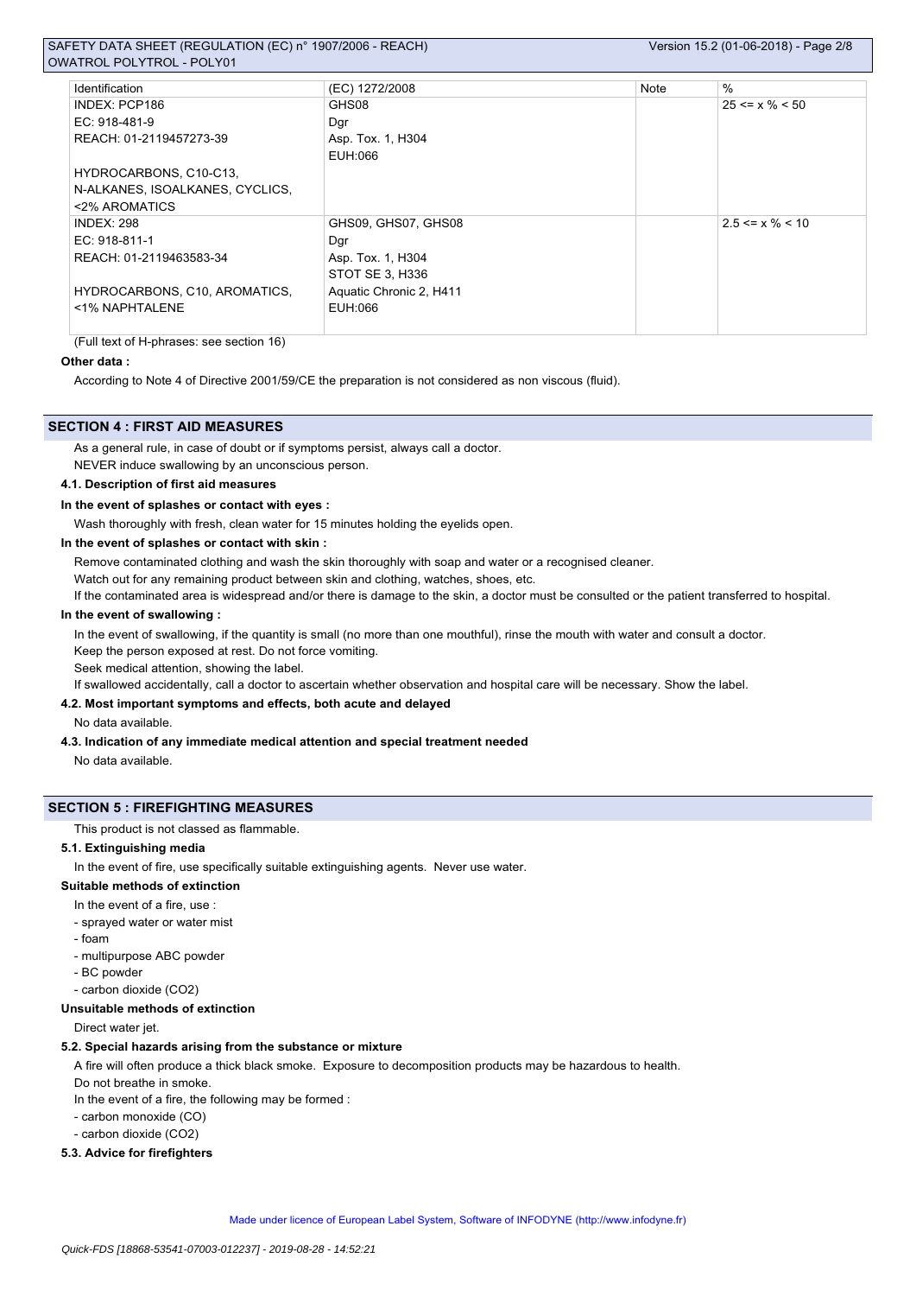# SAFETY DATA SHEET (REGULATION (EC) n° 1907/2006 - REACH) Version 15.2 (01-06-2018) - Page 2/8 OWATROL POLYTROL - POLY01

| Identification                  | (EC) 1272/2008          | Note | $\%$                  |
|---------------------------------|-------------------------|------|-----------------------|
| INDEX: PCP186                   | GHS08                   |      | $25 \le x \% \le 50$  |
| $EC: 918-481-9$                 | Dgr                     |      |                       |
| REACH: 01-2119457273-39         | Asp. Tox. 1, H304       |      |                       |
|                                 | EUH:066                 |      |                       |
| HYDROCARBONS, C10-C13,          |                         |      |                       |
| N-ALKANES, ISOALKANES, CYCLICS, |                         |      |                       |
| <2% AROMATICS                   |                         |      |                       |
| <b>INDEX: 298</b>               | GHS09, GHS07, GHS08     |      | $2.5 \le x \% \le 10$ |
| $EC: 918-811-1$                 | Dgr                     |      |                       |
| REACH: 01-2119463583-34         | Asp. Tox. 1, H304       |      |                       |
|                                 | STOT SE 3, H336         |      |                       |
| HYDROCARBONS, C10, AROMATICS,   | Aquatic Chronic 2, H411 |      |                       |
| <1% NAPHTALENE                  | EUH:066                 |      |                       |
|                                 |                         |      |                       |

(Full text of H-phrases: see section 16)

#### **Other data :**

According to Note 4 of Directive 2001/59/CE the preparation is not considered as non viscous (fluid).

## **SECTION 4 : FIRST AID MEASURES**

As a general rule, in case of doubt or if symptoms persist, always call a doctor.

NEVER induce swallowing by an unconscious person.

# **4.1. Description of first aid measures**

# **In the event of splashes or contact with eyes :**

Wash thoroughly with fresh, clean water for 15 minutes holding the eyelids open.

#### **In the event of splashes or contact with skin :**

Remove contaminated clothing and wash the skin thoroughly with soap and water or a recognised cleaner.

Watch out for any remaining product between skin and clothing, watches, shoes, etc.

If the contaminated area is widespread and/or there is damage to the skin, a doctor must be consulted or the patient transferred to hospital.

#### **In the event of swallowing :**

In the event of swallowing, if the quantity is small (no more than one mouthful), rinse the mouth with water and consult a doctor. Keep the person exposed at rest. Do not force vomiting.

Seek medical attention, showing the label.

If swallowed accidentally, call a doctor to ascertain whether observation and hospital care will be necessary. Show the label.

# **4.2. Most important symptoms and effects, both acute and delayed**

No data available.

**4.3. Indication of any immediate medical attention and special treatment needed**

No data available.

#### **SECTION 5 : FIREFIGHTING MEASURES**

This product is not classed as flammable.

#### **5.1. Extinguishing media**

In the event of fire, use specifically suitable extinguishing agents. Never use water.

# **Suitable methods of extinction**

- In the event of a fire, use :
- sprayed water or water mist
- foam
- multipurpose ABC powder
- BC powder
- carbon dioxide (CO2)

# **Unsuitable methods of extinction**

Direct water jet.

#### **5.2. Special hazards arising from the substance or mixture**

A fire will often produce a thick black smoke. Exposure to decomposition products may be hazardous to health.

Do not breathe in smoke.

In the event of a fire, the following may be formed :

- carbon monoxide (CO)
- carbon dioxide (CO2)

# **5.3. Advice for firefighters**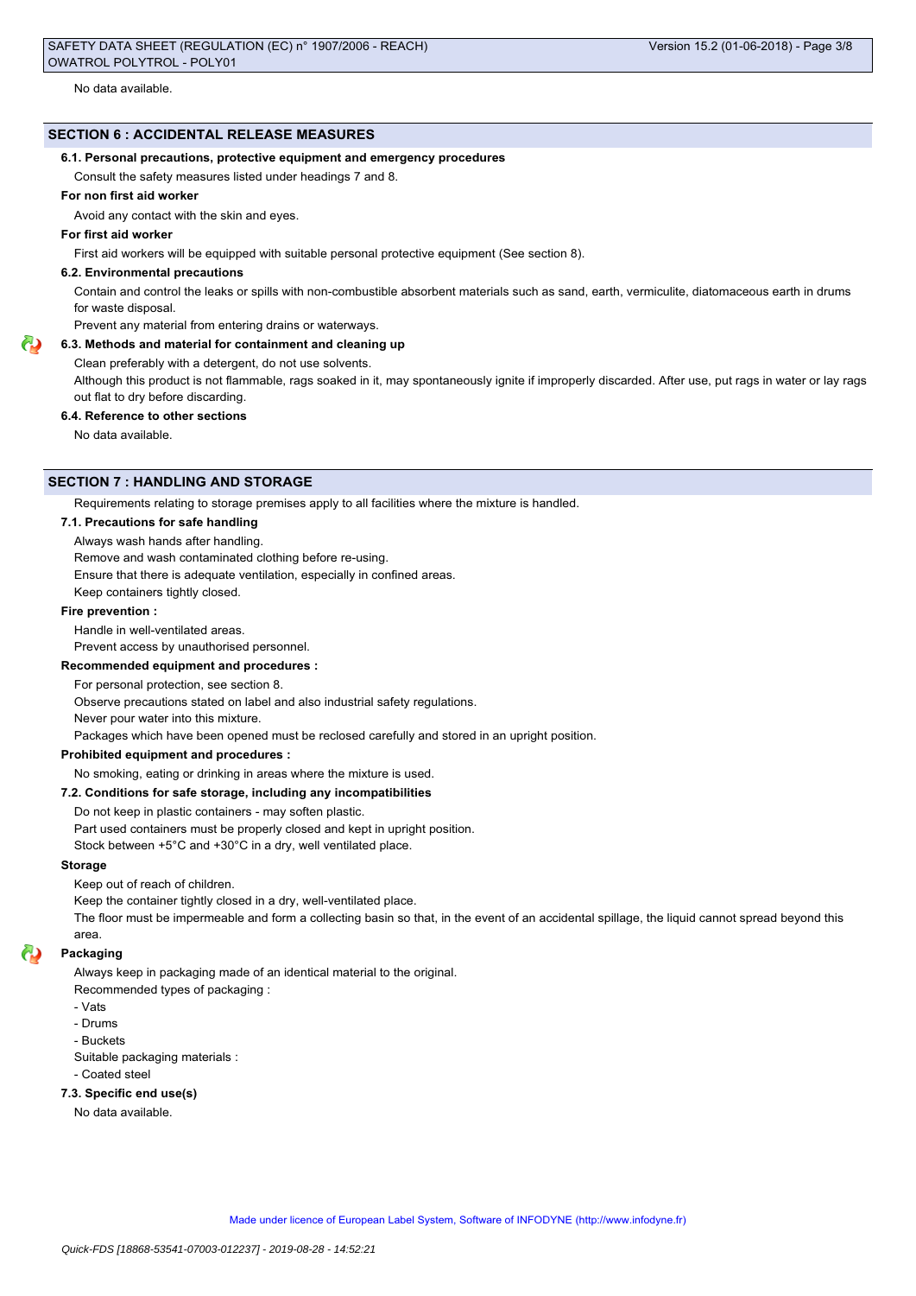No data available.

# **SECTION 6 : ACCIDENTAL RELEASE MEASURES**

## **6.1. Personal precautions, protective equipment and emergency procedures**

Consult the safety measures listed under headings 7 and 8.

# **For non first aid worker**

Avoid any contact with the skin and eyes.

## **For first aid worker**

First aid workers will be equipped with suitable personal protective equipment (See section 8).

#### **6.2. Environmental precautions**

Contain and control the leaks or spills with non-combustible absorbent materials such as sand, earth, vermiculite, diatomaceous earth in drums for waste disposal.

# Prevent any material from entering drains or waterways.

**6.3. Methods and material for containment and cleaning up**

Clean preferably with a detergent, do not use solvents.

Although this product is not flammable, rags soaked in it, may spontaneously ignite if improperly discarded. After use, put rags in water or lay rags out flat to dry before discarding.

#### **6.4. Reference to other sections**

No data available.

# **SECTION 7 : HANDLING AND STORAGE**

Requirements relating to storage premises apply to all facilities where the mixture is handled.

#### **7.1. Precautions for safe handling**

Always wash hands after handling.

Remove and wash contaminated clothing before re-using.

Ensure that there is adequate ventilation, especially in confined areas.

Keep containers tightly closed.

#### **Fire prevention :**

Handle in well-ventilated areas.

Prevent access by unauthorised personnel.

#### **Recommended equipment and procedures :**

For personal protection, see section 8.

Observe precautions stated on label and also industrial safety regulations.

Never pour water into this mixture.

Packages which have been opened must be reclosed carefully and stored in an upright position.

#### **Prohibited equipment and procedures :**

No smoking, eating or drinking in areas where the mixture is used.

#### **7.2. Conditions for safe storage, including any incompatibilities**

Do not keep in plastic containers - may soften plastic.

Part used containers must be properly closed and kept in upright position.

Stock between +5°C and +30°C in a dry, well ventilated place.

#### **Storage**

Keep out of reach of children.

Keep the container tightly closed in a dry, well-ventilated place.

The floor must be impermeable and form a collecting basin so that, in the event of an accidental spillage, the liquid cannot spread beyond this area.

#### **Packaging**

Always keep in packaging made of an identical material to the original.

Recommended types of packaging :

- Vats
- Drums

- Buckets

Suitable packaging materials :

- Coated steel

# **7.3. Specific end use(s)**

No data available.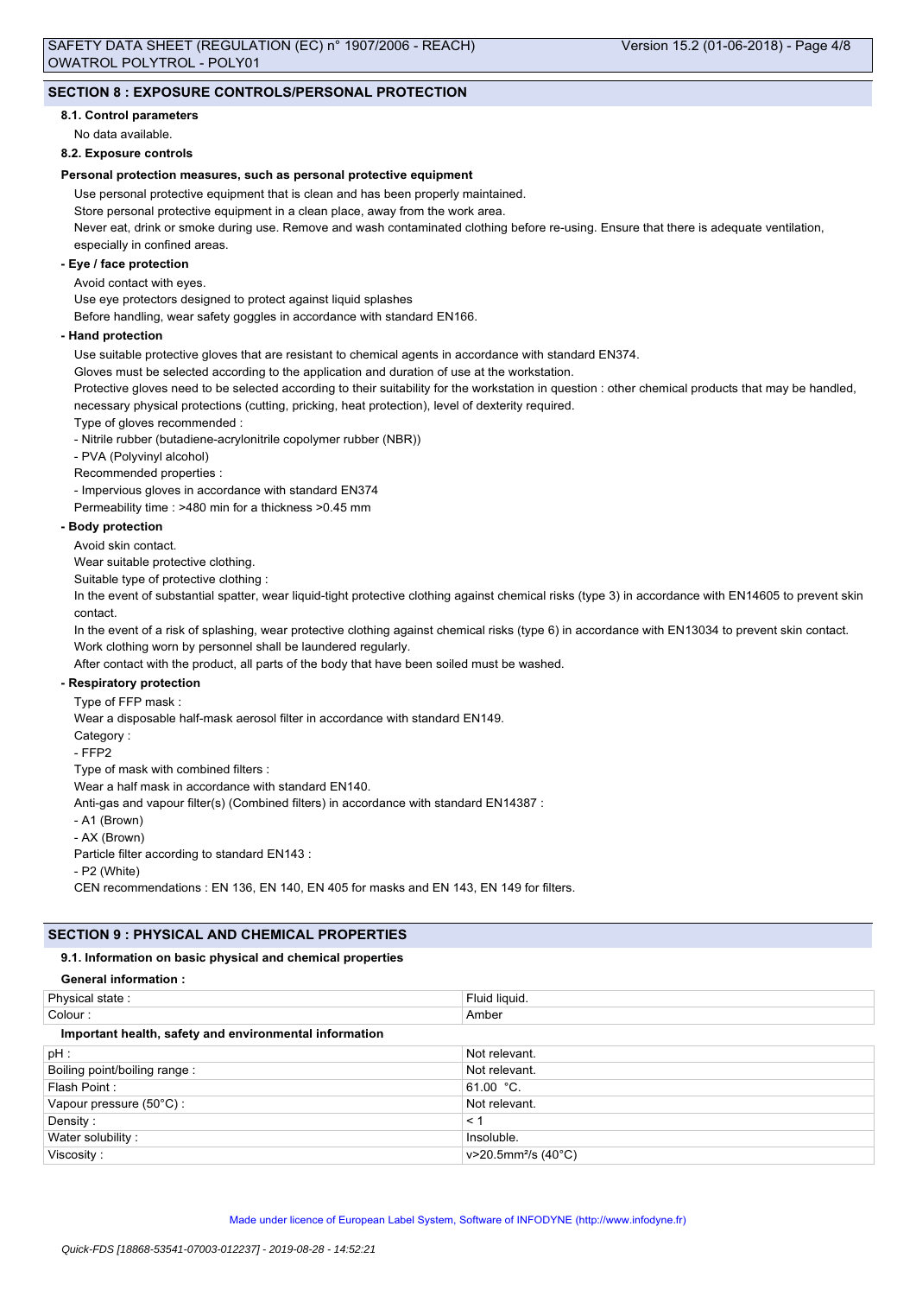# **SECTION 8 : EXPOSURE CONTROLS/PERSONAL PROTECTION**

## **8.1. Control parameters**

No data available.

## **8.2. Exposure controls**

## **Personal protection measures, such as personal protective equipment**

Use personal protective equipment that is clean and has been properly maintained.

Store personal protective equipment in a clean place, away from the work area.

Never eat, drink or smoke during use. Remove and wash contaminated clothing before re-using. Ensure that there is adequate ventilation, especially in confined areas.

#### **- Eye / face protection**

Avoid contact with eyes.

Use eye protectors designed to protect against liquid splashes

Before handling, wear safety goggles in accordance with standard EN166.

#### **- Hand protection**

Use suitable protective gloves that are resistant to chemical agents in accordance with standard EN374.

Gloves must be selected according to the application and duration of use at the workstation.

Protective gloves need to be selected according to their suitability for the workstation in question : other chemical products that may be handled, necessary physical protections (cutting, pricking, heat protection), level of dexterity required.

Type of gloves recommended :

- Nitrile rubber (butadiene-acrylonitrile copolymer rubber (NBR))

- PVA (Polyvinyl alcohol)

Recommended properties :

- Impervious gloves in accordance with standard EN374

Permeability time : >480 min for a thickness >0.45 mm

## **- Body protection**

Avoid skin contact.

Wear suitable protective clothing.

Suitable type of protective clothing :

In the event of substantial spatter, wear liquid-tight protective clothing against chemical risks (type 3) in accordance with EN14605 to prevent skin contact.

In the event of a risk of splashing, wear protective clothing against chemical risks (type 6) in accordance with EN13034 to prevent skin contact. Work clothing worn by personnel shall be laundered regularly.

After contact with the product, all parts of the body that have been soiled must be washed.

# **- Respiratory protection**

Type of FFP mask :

Wear a disposable half-mask aerosol filter in accordance with standard EN149.

Category :

- FFP2

Type of mask with combined filters :

Wear a half mask in accordance with standard EN140.

Anti-gas and vapour filter(s) (Combined filters) in accordance with standard EN14387 :

- A1 (Brown)

- AX (Brown)

Particle filter according to standard EN143 :

- P2 (White)

CEN recommendations : EN 136, EN 140, EN 405 for masks and EN 143, EN 149 for filters.

# **SECTION 9 : PHYSICAL AND CHEMICAL PROPERTIES**

## **9.1. Information on basic physical and chemical properties**

#### **General information :**

| Physical state:                                        | Fluid liquid.                   |  |
|--------------------------------------------------------|---------------------------------|--|
| Colour:                                                | Amber                           |  |
| Important health, safety and environmental information |                                 |  |
| $pH$ :                                                 | Not relevant.                   |  |
| Boiling point/boiling range:                           | Not relevant.                   |  |
| Flash Point:                                           | 61.00 $^{\circ}$ C.             |  |
| Vapour pressure (50°C):                                | Not relevant.                   |  |
| Density:                                               | < 1                             |  |
| Water solubility:                                      | Insoluble.                      |  |
| Viscosity:                                             | v>20.5mm <sup>2</sup> /s (40°C) |  |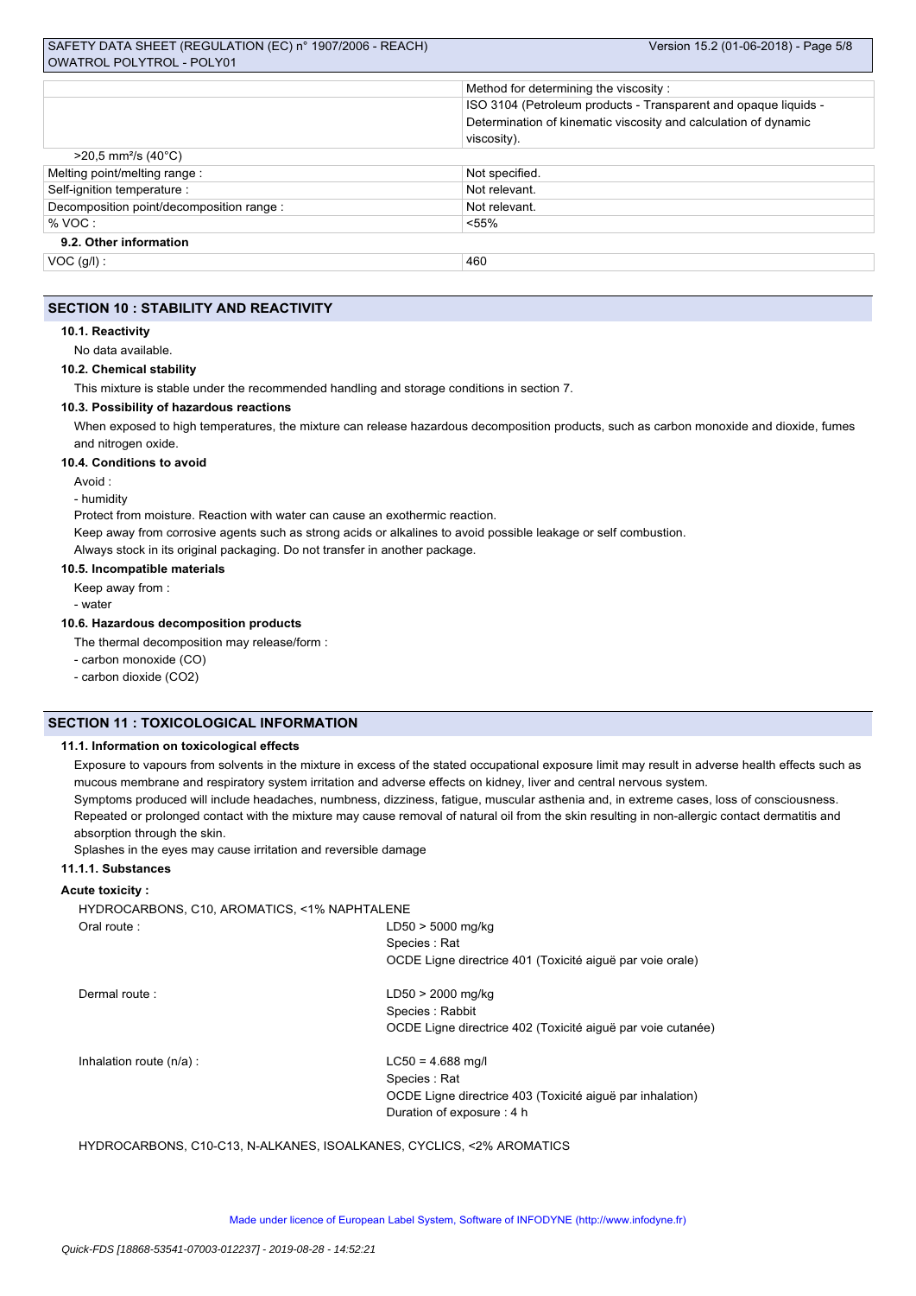|                                               | Method for determining the viscosity:                           |  |
|-----------------------------------------------|-----------------------------------------------------------------|--|
|                                               | ISO 3104 (Petroleum products - Transparent and opaque liquids - |  |
|                                               | Determination of kinematic viscosity and calculation of dynamic |  |
|                                               | viscosity).                                                     |  |
| $>$ 20,5 mm <sup>2</sup> /s (40 $^{\circ}$ C) |                                                                 |  |
| Melting point/melting range:                  | Not specified.                                                  |  |
| Self-ignition temperature :                   | Not relevant.                                                   |  |
| Decomposition point/decomposition range :     | Not relevant.                                                   |  |
| % VOC:                                        | $< 55\%$                                                        |  |
| 9.2. Other information                        |                                                                 |  |
| $VOC$ (g/l) :                                 | 460                                                             |  |

## **SECTION 10 : STABILITY AND REACTIVITY**

#### **10.1. Reactivity**

No data available.

#### **10.2. Chemical stability**

This mixture is stable under the recommended handling and storage conditions in section 7.

# **10.3. Possibility of hazardous reactions**

When exposed to high temperatures, the mixture can release hazardous decomposition products, such as carbon monoxide and dioxide, fumes and nitrogen oxide.

#### **10.4. Conditions to avoid**

Avoid :

#### - humidity

Protect from moisture. Reaction with water can cause an exothermic reaction.

Keep away from corrosive agents such as strong acids or alkalines to avoid possible leakage or self combustion.

Always stock in its original packaging. Do not transfer in another package.

#### **10.5. Incompatible materials**

Keep away from :

- water

#### **10.6. Hazardous decomposition products**

The thermal decomposition may release/form :

- carbon monoxide (CO)

- carbon dioxide (CO2)

# **SECTION 11 : TOXICOLOGICAL INFORMATION**

#### **11.1. Information on toxicological effects**

Exposure to vapours from solvents in the mixture in excess of the stated occupational exposure limit may result in adverse health effects such as mucous membrane and respiratory system irritation and adverse effects on kidney, liver and central nervous system.

Symptoms produced will include headaches, numbness, dizziness, fatigue, muscular asthenia and, in extreme cases, loss of consciousness. Repeated or prolonged contact with the mixture may cause removal of natural oil from the skin resulting in non-allergic contact dermatitis and

absorption through the skin.

Splashes in the eyes may cause irritation and reversible damage

# **11.1.1. Substances**

### **Acute toxicity :**

HYDROCARBONS, C10, AROMATICS, <1% NAPHTALENE Oral route : LD50 > 5000 mg/kg Species : Rat OCDE Ligne directrice 401 (Toxicité aiguë par voie orale) Dermal route : LD50 > 2000 mg/kg Species : Rabbit OCDE Ligne directrice 402 (Toxicité aiguë par voie cutanée) Inhalation route  $(n/a)$ : LC50 = 4.688 mg/l Species : Rat

OCDE Ligne directrice 403 (Toxicité aiguë par inhalation) Duration of exposure : 4 h

HYDROCARBONS, C10-C13, N-ALKANES, ISOALKANES, CYCLICS, <2% AROMATICS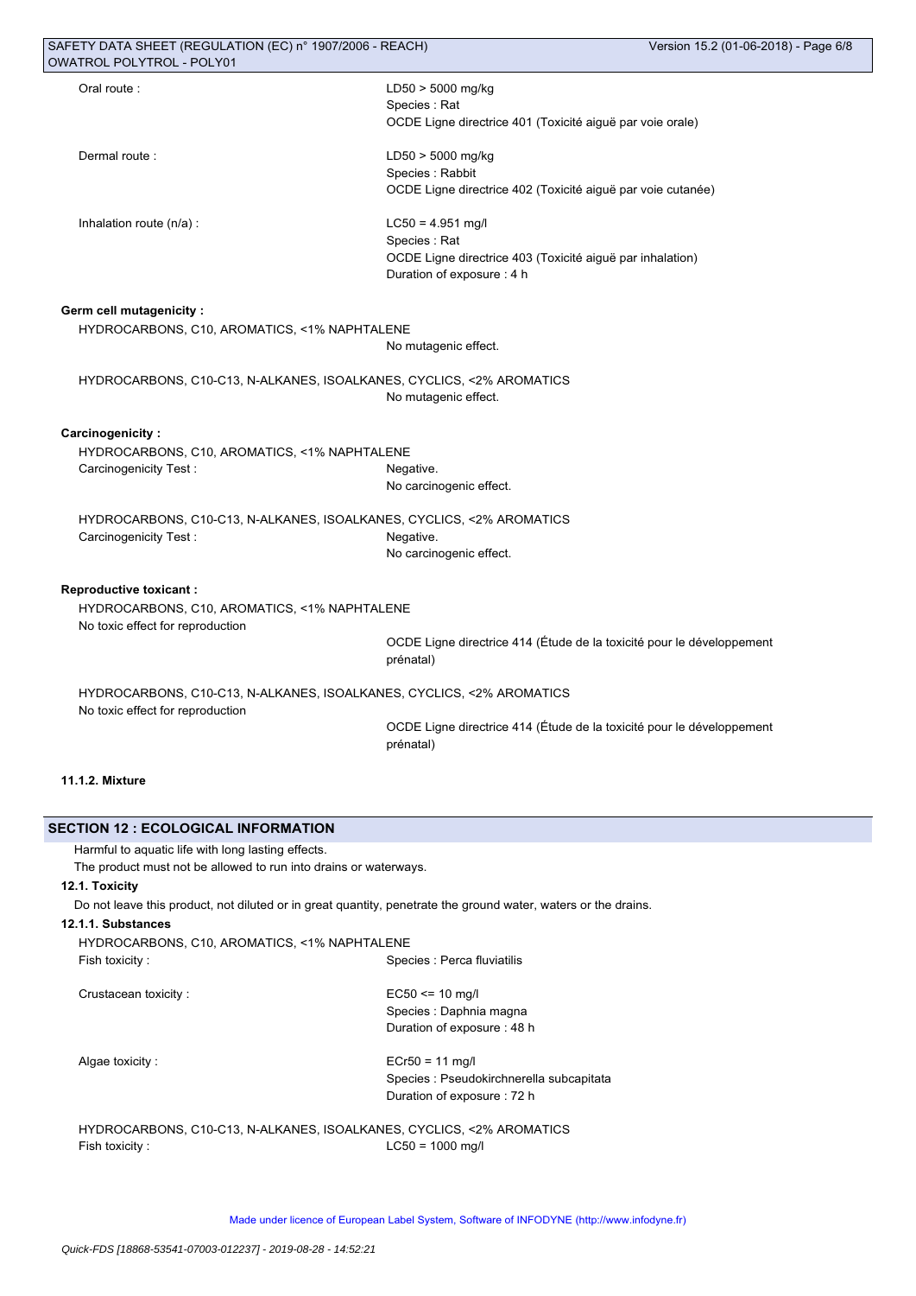| SAFETY DATA SHEET (REGULATION (EC) n° 1907/2006 - REACH)                                                       |                                                                                    | Version 15.2 (01-06-2018) - Page 6/8 |
|----------------------------------------------------------------------------------------------------------------|------------------------------------------------------------------------------------|--------------------------------------|
| <b>OWATROL POLYTROL - POLY01</b>                                                                               |                                                                                    |                                      |
| Oral route:                                                                                                    | LD50 > 5000 mg/kg                                                                  |                                      |
|                                                                                                                | Species: Rat                                                                       |                                      |
|                                                                                                                | OCDE Ligne directrice 401 (Toxicité aiguë par voie orale)                          |                                      |
| Dermal route:                                                                                                  | LD50 > 5000 mg/kg                                                                  |                                      |
|                                                                                                                | Species : Rabbit                                                                   |                                      |
|                                                                                                                | OCDE Ligne directrice 402 (Toxicité aiguë par voie cutanée)                        |                                      |
| Inhalation route (n/a) :                                                                                       | $LC50 = 4.951$ mg/l                                                                |                                      |
|                                                                                                                | Species: Rat                                                                       |                                      |
|                                                                                                                | OCDE Ligne directrice 403 (Toxicité aiguë par inhalation)                          |                                      |
|                                                                                                                | Duration of exposure : 4 h                                                         |                                      |
| <b>Germ cell mutagenicity:</b>                                                                                 |                                                                                    |                                      |
| HYDROCARBONS, C10, AROMATICS, <1% NAPHTALENE                                                                   |                                                                                    |                                      |
|                                                                                                                | No mutagenic effect.                                                               |                                      |
| HYDROCARBONS, C10-C13, N-ALKANES, ISOALKANES, CYCLICS, <2% AROMATICS                                           |                                                                                    |                                      |
|                                                                                                                | No mutagenic effect.                                                               |                                      |
| <b>Carcinogenicity:</b>                                                                                        |                                                                                    |                                      |
| HYDROCARBONS, C10, AROMATICS, <1% NAPHTALENE                                                                   |                                                                                    |                                      |
| Carcinogenicity Test:                                                                                          | Negative.                                                                          |                                      |
|                                                                                                                | No carcinogenic effect.                                                            |                                      |
| HYDROCARBONS, C10-C13, N-ALKANES, ISOALKANES, CYCLICS, <2% AROMATICS                                           |                                                                                    |                                      |
| Carcinogenicity Test:                                                                                          | Negative.                                                                          |                                      |
|                                                                                                                | No carcinogenic effect.                                                            |                                      |
| <b>Reproductive toxicant:</b>                                                                                  |                                                                                    |                                      |
| HYDROCARBONS, C10, AROMATICS, <1% NAPHTALENE                                                                   |                                                                                    |                                      |
| No toxic effect for reproduction                                                                               |                                                                                    |                                      |
|                                                                                                                | OCDE Ligne directrice 414 (Étude de la toxicité pour le développement<br>prénatal) |                                      |
|                                                                                                                |                                                                                    |                                      |
| HYDROCARBONS, C10-C13, N-ALKANES, ISOALKANES, CYCLICS, <2% AROMATICS<br>No toxic effect for reproduction       |                                                                                    |                                      |
|                                                                                                                | OCDE Ligne directrice 414 (Etude de la toxicité pour le développement              |                                      |
|                                                                                                                | prénatal)                                                                          |                                      |
| <b>11.1.2. Mixture</b>                                                                                         |                                                                                    |                                      |
|                                                                                                                |                                                                                    |                                      |
| <b>SECTION 12 : ECOLOGICAL INFORMATION</b>                                                                     |                                                                                    |                                      |
| Harmful to aquatic life with long lasting effects.                                                             |                                                                                    |                                      |
| The product must not be allowed to run into drains or waterways.                                               |                                                                                    |                                      |
| 12.1. Toxicity                                                                                                 |                                                                                    |                                      |
| Do not leave this product, not diluted or in great quantity, penetrate the ground water, waters or the drains. |                                                                                    |                                      |
| 12.1.1. Substances                                                                                             |                                                                                    |                                      |
| HYDROCARBONS, C10, AROMATICS, <1% NAPHTALENE                                                                   |                                                                                    |                                      |
| Fish toxicity :                                                                                                | Species : Perca fluviatilis                                                        |                                      |

Crustacean toxicity : EC50 <= 10 mg/l

Species : Daphnia magna Duration of exposure : 48 h

Algae toxicity :  $Ecr50 = 11$  mg/l Species : Pseudokirchnerella subcapitata Duration of exposure : 72 h

HYDROCARBONS, C10-C13, N-ALKANES, ISOALKANES, CYCLICS, <2% AROMATICS Fish toxicity : LC50 = 1000 mg/l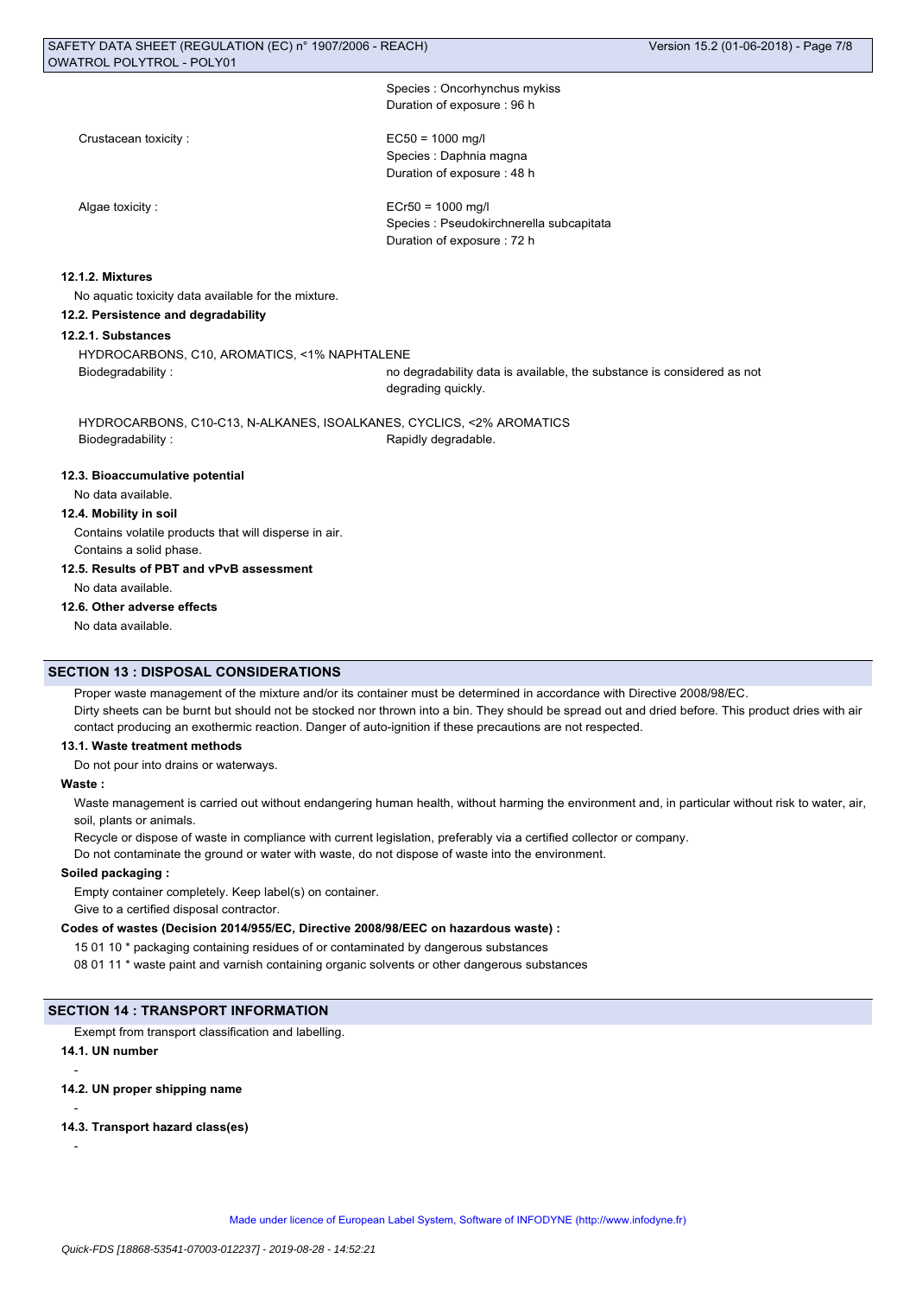| Species: Oncorhynchus mykiss |  |
|------------------------------|--|
| Duration of exposure: 96 h   |  |

Crustacean toxicity : EC50 = 1000 mg/l

# Species : Daphnia magna Duration of exposure : 48 h

Algae toxicity : ECr50 = 1000 mg/l Species : Pseudokirchnerella subcapitata Duration of exposure : 72 h

# **12.1.2. Mixtures**

No aquatic toxicity data available for the mixture.

**12.2. Persistence and degradability**

#### **12.2.1. Substances**

HYDROCARBONS, C10, AROMATICS, <1% NAPHTALENE

Biodegradability : no degradability data is available, the substance is considered as not degrading quickly.

HYDROCARBONS, C10-C13, N-ALKANES, ISOALKANES, CYCLICS, <2% AROMATICS Biodegradability : The Contract of the Rapidly degradable.

#### **12.3. Bioaccumulative potential**

No data available.

# **12.4. Mobility in soil**

Contains volatile products that will disperse in air. Contains a solid phase.

**12.5. Results of PBT and vPvB assessment**

No data available.

# **12.6. Other adverse effects**

No data available.

#### **SECTION 13 : DISPOSAL CONSIDERATIONS**

Proper waste management of the mixture and/or its container must be determined in accordance with Directive 2008/98/EC. Dirty sheets can be burnt but should not be stocked nor thrown into a bin. They should be spread out and dried before. This product dries with air contact producing an exothermic reaction. Danger of auto-ignition if these precautions are not respected.

#### **13.1. Waste treatment methods**

Do not pour into drains or waterways.

#### **Waste :**

Waste management is carried out without endangering human health, without harming the environment and, in particular without risk to water, air, soil, plants or animals.

Recycle or dispose of waste in compliance with current legislation, preferably via a certified collector or company.

Do not contaminate the ground or water with waste, do not dispose of waste into the environment.

# **Soiled packaging :**

Empty container completely. Keep label(s) on container.

Give to a certified disposal contractor.

# **Codes of wastes (Decision 2014/955/EC, Directive 2008/98/EEC on hazardous waste) :**

15 01 10 \* packaging containing residues of or contaminated by dangerous substances

08 01 11 \* waste paint and varnish containing organic solvents or other dangerous substances

## **SECTION 14 : TRANSPORT INFORMATION**

Exempt from transport classification and labelling.

# **14.1. UN number**

**14.2. UN proper shipping name**

## -

-

# **14.3. Transport hazard class(es)**

-